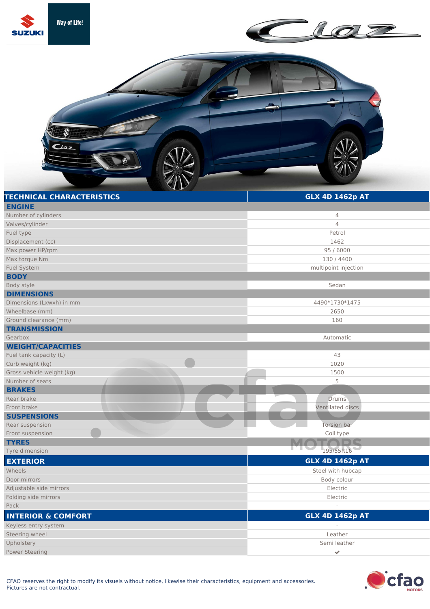

| Valves/cylinder               | $\overline{4}$         |
|-------------------------------|------------------------|
| Fuel type                     | Petrol                 |
| Displacement (cc)             | 1462                   |
| Max power HP/rpm              | 95 / 6000              |
| Max torque Nm                 | 130 / 4400             |
| Fuel System                   | multipoint injection   |
| <b>BODY</b>                   |                        |
| Body style                    | Sedan                  |
| <b>DIMENSIONS</b>             |                        |
| Dimensions (Lxwxh) in mm      | 4490*1730*1475         |
| Wheelbase (mm)                | 2650                   |
| Ground clearance (mm)         | 160                    |
| <b>TRANSMISSION</b>           |                        |
| Gearbox                       | Automatic              |
| <b>WEIGHT/CAPACITIES</b>      |                        |
| Fuel tank capacity (L)        | 43                     |
| Curb weight (kg)              | 1020                   |
| Gross vehicle weight (kg)     | 1500                   |
| Number of seats               | 5                      |
| <b>BRAKES</b>                 |                        |
| Rear brake                    | <b>Drums</b>           |
| Front brake                   | Ventilated discs       |
| <b>SUSPENSIONS</b>            |                        |
| Rear suspension               | Torsion bar            |
| Front suspension              | Coil type              |
| <b>TYRES</b>                  |                        |
| Tyre dimension                | 195/55R16              |
| <b>EXTERIOR</b>               | <b>GLX 4D 1462p AT</b> |
| Wheels                        | Steel with hubcap      |
| Door mirrors                  | Body colour            |
| Adjustable side mirrors       | Electric               |
| Folding side mirrors          | Electric               |
| Pack                          |                        |
| <b>INTERIOR &amp; COMFORT</b> | <b>GLX 4D 1462p AT</b> |
| Keyless entry system          |                        |
| Steering wheel                | Leather                |
| Upholstery                    | Semi leather           |



I